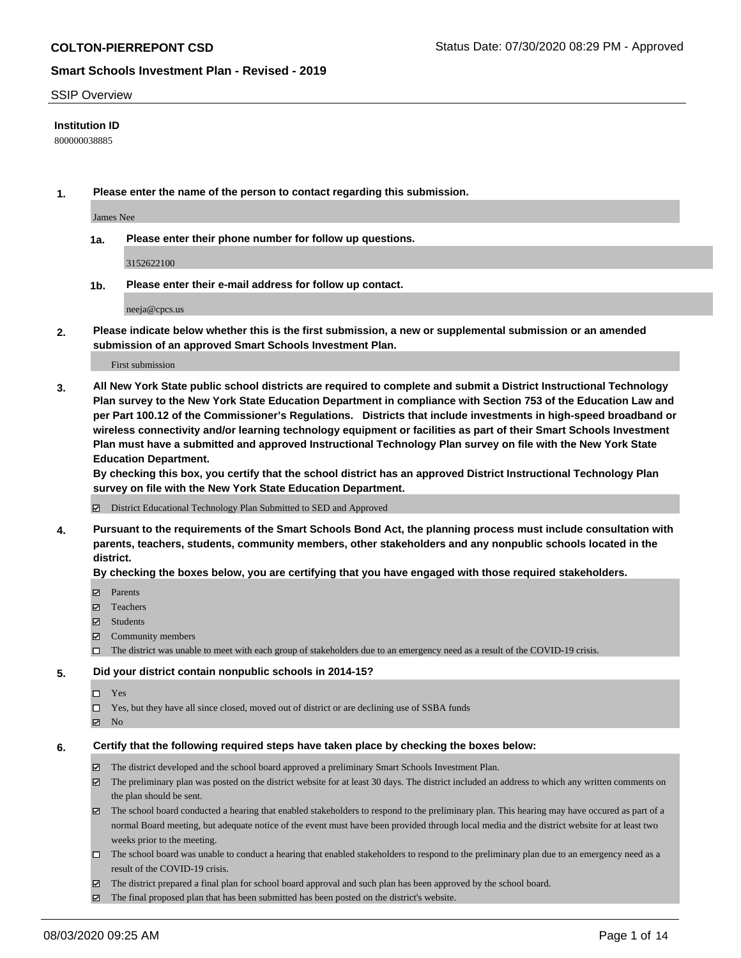### SSIP Overview

### **Institution ID**

800000038885

**1. Please enter the name of the person to contact regarding this submission.**

James Nee

**1a. Please enter their phone number for follow up questions.**

3152622100

**1b. Please enter their e-mail address for follow up contact.**

neeja@cpcs.us

**2. Please indicate below whether this is the first submission, a new or supplemental submission or an amended submission of an approved Smart Schools Investment Plan.**

### First submission

**3. All New York State public school districts are required to complete and submit a District Instructional Technology Plan survey to the New York State Education Department in compliance with Section 753 of the Education Law and per Part 100.12 of the Commissioner's Regulations. Districts that include investments in high-speed broadband or wireless connectivity and/or learning technology equipment or facilities as part of their Smart Schools Investment Plan must have a submitted and approved Instructional Technology Plan survey on file with the New York State Education Department.** 

**By checking this box, you certify that the school district has an approved District Instructional Technology Plan survey on file with the New York State Education Department.**

District Educational Technology Plan Submitted to SED and Approved

**4. Pursuant to the requirements of the Smart Schools Bond Act, the planning process must include consultation with parents, teachers, students, community members, other stakeholders and any nonpublic schools located in the district.** 

### **By checking the boxes below, you are certifying that you have engaged with those required stakeholders.**

- **□** Parents
- Teachers
- Students
- $\boxtimes$  Community members
- The district was unable to meet with each group of stakeholders due to an emergency need as a result of the COVID-19 crisis.

### **5. Did your district contain nonpublic schools in 2014-15?**

- $\neg$  Yes
- Yes, but they have all since closed, moved out of district or are declining use of SSBA funds
- **Z** No

### **6. Certify that the following required steps have taken place by checking the boxes below:**

- The district developed and the school board approved a preliminary Smart Schools Investment Plan.
- $\boxtimes$  The preliminary plan was posted on the district website for at least 30 days. The district included an address to which any written comments on the plan should be sent.
- $\boxtimes$  The school board conducted a hearing that enabled stakeholders to respond to the preliminary plan. This hearing may have occured as part of a normal Board meeting, but adequate notice of the event must have been provided through local media and the district website for at least two weeks prior to the meeting.
- The school board was unable to conduct a hearing that enabled stakeholders to respond to the preliminary plan due to an emergency need as a result of the COVID-19 crisis.
- The district prepared a final plan for school board approval and such plan has been approved by the school board.
- $\boxtimes$  The final proposed plan that has been submitted has been posted on the district's website.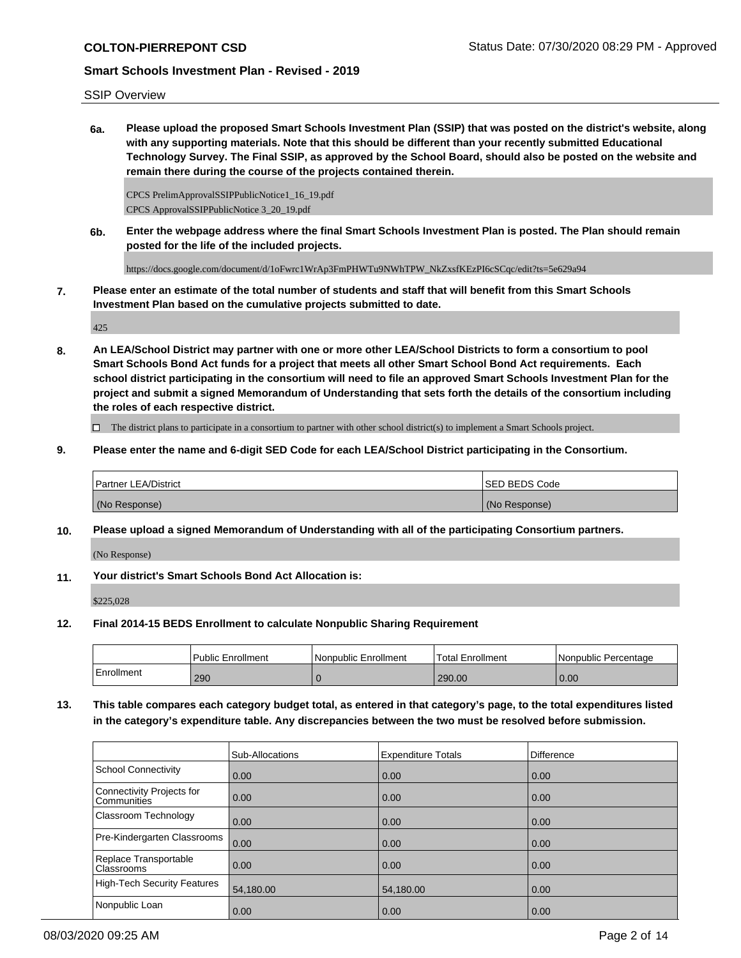### SSIP Overview

**6a. Please upload the proposed Smart Schools Investment Plan (SSIP) that was posted on the district's website, along with any supporting materials. Note that this should be different than your recently submitted Educational Technology Survey. The Final SSIP, as approved by the School Board, should also be posted on the website and remain there during the course of the projects contained therein.**

CPCS PrelimApprovalSSIPPublicNotice1\_16\_19.pdf CPCS ApprovalSSIPPublicNotice 3\_20\_19.pdf

**6b. Enter the webpage address where the final Smart Schools Investment Plan is posted. The Plan should remain posted for the life of the included projects.**

https://docs.google.com/document/d/1oFwrc1WrAp3FmPHWTu9NWhTPW\_NkZxsfKEzPI6cSCqc/edit?ts=5e629a94

**7. Please enter an estimate of the total number of students and staff that will benefit from this Smart Schools Investment Plan based on the cumulative projects submitted to date.**

425

**8. An LEA/School District may partner with one or more other LEA/School Districts to form a consortium to pool Smart Schools Bond Act funds for a project that meets all other Smart School Bond Act requirements. Each school district participating in the consortium will need to file an approved Smart Schools Investment Plan for the project and submit a signed Memorandum of Understanding that sets forth the details of the consortium including the roles of each respective district.**

 $\Box$  The district plans to participate in a consortium to partner with other school district(s) to implement a Smart Schools project.

**9. Please enter the name and 6-digit SED Code for each LEA/School District participating in the Consortium.**

| <b>Partner LEA/District</b> | <b>ISED BEDS Code</b> |
|-----------------------------|-----------------------|
| (No Response)               | (No Response)         |

**10. Please upload a signed Memorandum of Understanding with all of the participating Consortium partners.**

(No Response)

**11. Your district's Smart Schools Bond Act Allocation is:**

\$225,028

**12. Final 2014-15 BEDS Enrollment to calculate Nonpublic Sharing Requirement**

|            | <b>Public Enrollment</b> | Nonpublic Enrollment | Total Enrollment | l Nonpublic Percentage |
|------------|--------------------------|----------------------|------------------|------------------------|
| Enrollment | 290                      |                      | 290.00           | 0.00                   |

**13. This table compares each category budget total, as entered in that category's page, to the total expenditures listed in the category's expenditure table. Any discrepancies between the two must be resolved before submission.**

|                                                 | Sub-Allocations | <b>Expenditure Totals</b> | <b>Difference</b> |
|-------------------------------------------------|-----------------|---------------------------|-------------------|
| School Connectivity                             | 0.00            | 0.00                      | 0.00              |
| Connectivity Projects for<br><b>Communities</b> | 0.00            | 0.00                      | 0.00              |
| <b>Classroom Technology</b>                     | 0.00            | 0.00                      | 0.00              |
| Pre-Kindergarten Classrooms                     | 0.00            | 0.00                      | 0.00              |
| Replace Transportable<br>Classrooms             | 0.00            | 0.00                      | 0.00              |
| High-Tech Security Features                     | 54,180.00       | 54,180.00                 | 0.00              |
| Nonpublic Loan                                  | 0.00            | 0.00                      | 0.00              |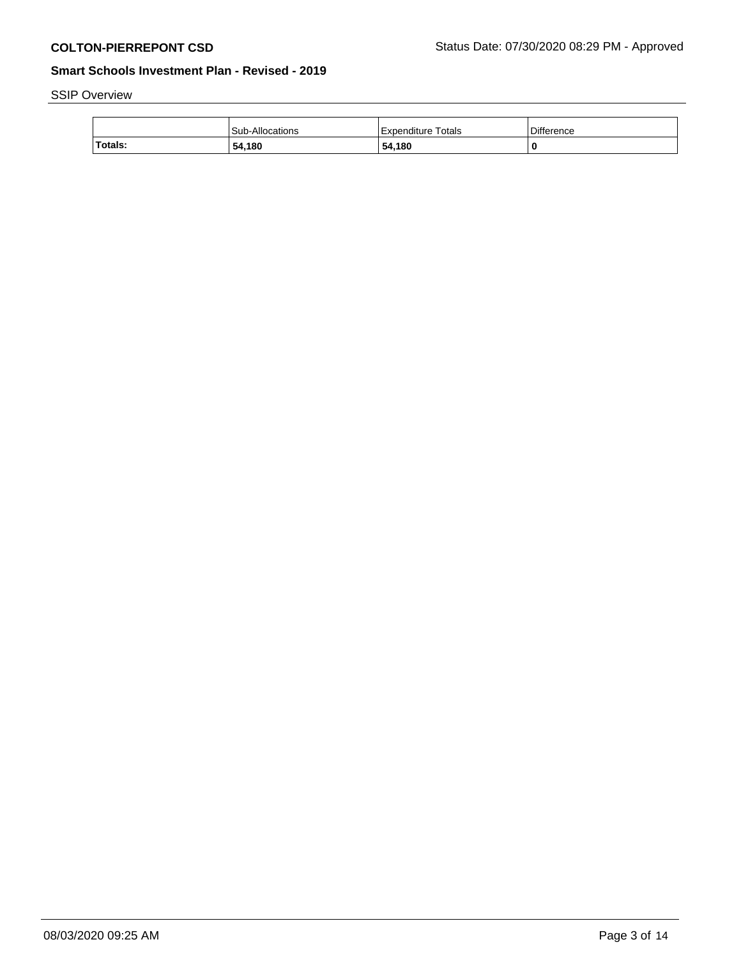# SSIP Overview

|         | Sub-Allocations | Totals<br>Expenditure | Difference |
|---------|-----------------|-----------------------|------------|
| Totals: | 54,180          | 54,180                |            |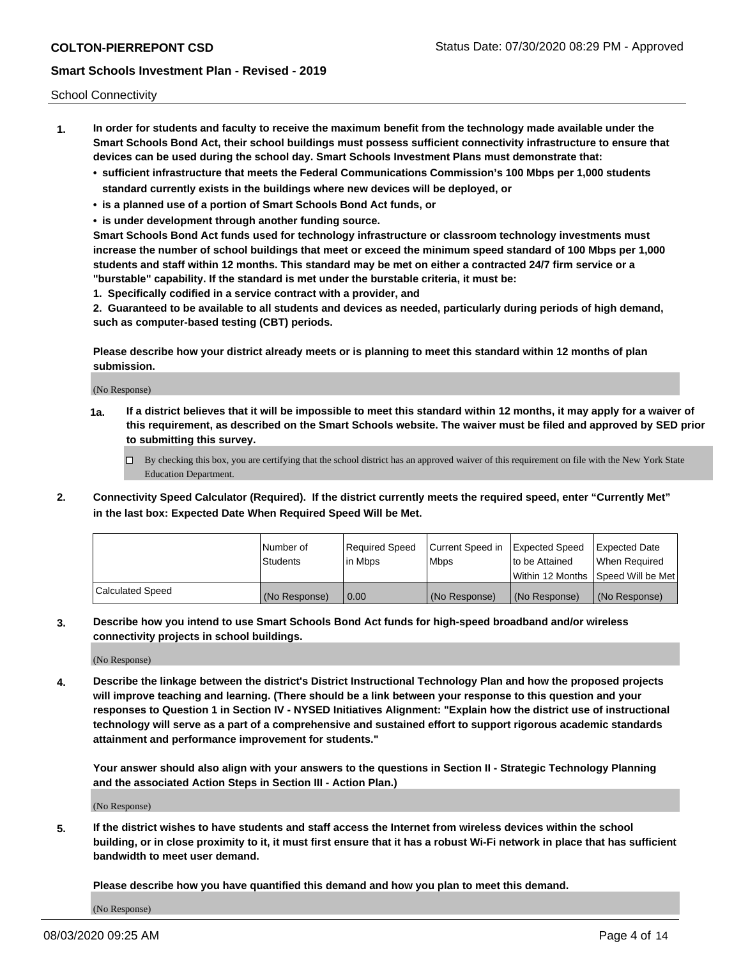School Connectivity

- **1. In order for students and faculty to receive the maximum benefit from the technology made available under the Smart Schools Bond Act, their school buildings must possess sufficient connectivity infrastructure to ensure that devices can be used during the school day. Smart Schools Investment Plans must demonstrate that:**
	- **• sufficient infrastructure that meets the Federal Communications Commission's 100 Mbps per 1,000 students standard currently exists in the buildings where new devices will be deployed, or**
	- **• is a planned use of a portion of Smart Schools Bond Act funds, or**
	- **• is under development through another funding source.**

**Smart Schools Bond Act funds used for technology infrastructure or classroom technology investments must increase the number of school buildings that meet or exceed the minimum speed standard of 100 Mbps per 1,000 students and staff within 12 months. This standard may be met on either a contracted 24/7 firm service or a "burstable" capability. If the standard is met under the burstable criteria, it must be:**

**1. Specifically codified in a service contract with a provider, and**

**2. Guaranteed to be available to all students and devices as needed, particularly during periods of high demand, such as computer-based testing (CBT) periods.**

**Please describe how your district already meets or is planning to meet this standard within 12 months of plan submission.**

(No Response)

**1a. If a district believes that it will be impossible to meet this standard within 12 months, it may apply for a waiver of this requirement, as described on the Smart Schools website. The waiver must be filed and approved by SED prior to submitting this survey.**

 $\Box$  By checking this box, you are certifying that the school district has an approved waiver of this requirement on file with the New York State Education Department.

**2. Connectivity Speed Calculator (Required). If the district currently meets the required speed, enter "Currently Met" in the last box: Expected Date When Required Speed Will be Met.**

|                  | l Number of     | Required Speed | Current Speed in | Expected Speed | Expected Date                        |
|------------------|-----------------|----------------|------------------|----------------|--------------------------------------|
|                  | <b>Students</b> | In Mbps        | <b>Mbps</b>      | to be Attained | When Required                        |
|                  |                 |                |                  |                | Within 12 Months 1Speed Will be Met1 |
| Calculated Speed | (No Response)   | 0.00           | (No Response)    | (No Response)  | l (No Response)                      |

**3. Describe how you intend to use Smart Schools Bond Act funds for high-speed broadband and/or wireless connectivity projects in school buildings.**

(No Response)

**4. Describe the linkage between the district's District Instructional Technology Plan and how the proposed projects will improve teaching and learning. (There should be a link between your response to this question and your responses to Question 1 in Section IV - NYSED Initiatives Alignment: "Explain how the district use of instructional technology will serve as a part of a comprehensive and sustained effort to support rigorous academic standards attainment and performance improvement for students."** 

**Your answer should also align with your answers to the questions in Section II - Strategic Technology Planning and the associated Action Steps in Section III - Action Plan.)**

(No Response)

**5. If the district wishes to have students and staff access the Internet from wireless devices within the school building, or in close proximity to it, it must first ensure that it has a robust Wi-Fi network in place that has sufficient bandwidth to meet user demand.**

**Please describe how you have quantified this demand and how you plan to meet this demand.**

(No Response)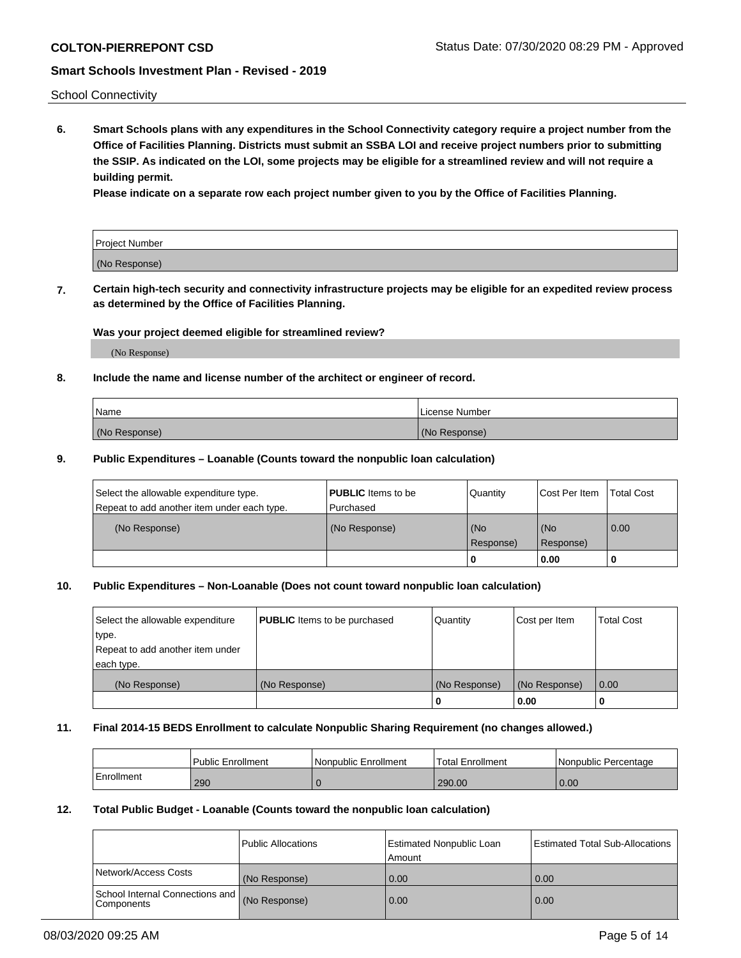School Connectivity

**6. Smart Schools plans with any expenditures in the School Connectivity category require a project number from the Office of Facilities Planning. Districts must submit an SSBA LOI and receive project numbers prior to submitting the SSIP. As indicated on the LOI, some projects may be eligible for a streamlined review and will not require a building permit.**

**Please indicate on a separate row each project number given to you by the Office of Facilities Planning.**

| Project Number |  |
|----------------|--|
| (No Response)  |  |

**7. Certain high-tech security and connectivity infrastructure projects may be eligible for an expedited review process as determined by the Office of Facilities Planning.**

### **Was your project deemed eligible for streamlined review?**

(No Response)

### **8. Include the name and license number of the architect or engineer of record.**

| Name          | License Number |
|---------------|----------------|
| (No Response) | (No Response)  |

### **9. Public Expenditures – Loanable (Counts toward the nonpublic loan calculation)**

| Select the allowable expenditure type.<br>Repeat to add another item under each type. | <b>PUBLIC</b> Items to be<br>l Purchased | Quantity           | Cost Per Item    | <b>Total Cost</b> |
|---------------------------------------------------------------------------------------|------------------------------------------|--------------------|------------------|-------------------|
| (No Response)                                                                         | (No Response)                            | l (No<br>Response) | (No<br>Response) | $\overline{0.00}$ |
|                                                                                       |                                          | 0                  | 0.00             |                   |

## **10. Public Expenditures – Non-Loanable (Does not count toward nonpublic loan calculation)**

| Select the allowable expenditure<br>type.<br>Repeat to add another item under<br>each type. | <b>PUBLIC</b> Items to be purchased | Quantity      | Cost per Item | <b>Total Cost</b> |
|---------------------------------------------------------------------------------------------|-------------------------------------|---------------|---------------|-------------------|
| (No Response)                                                                               | (No Response)                       | (No Response) | (No Response) | 0.00              |
|                                                                                             |                                     |               | 0.00          |                   |

### **11. Final 2014-15 BEDS Enrollment to calculate Nonpublic Sharing Requirement (no changes allowed.)**

|            | Public Enrollment | Nonpublic Enrollment | <b>Total Enrollment</b> | l Nonpublic Percentage |
|------------|-------------------|----------------------|-------------------------|------------------------|
| Enrollment | 290               |                      | 290.00                  | 0.00                   |

### **12. Total Public Budget - Loanable (Counts toward the nonpublic loan calculation)**

|                                                 | Public Allocations | Estimated Nonpublic Loan<br>Amount | <b>Estimated Total Sub-Allocations</b> |
|-------------------------------------------------|--------------------|------------------------------------|----------------------------------------|
| Network/Access Costs                            | (No Response)      | 0.00                               | 0.00                                   |
| School Internal Connections and<br>l Components | (No Response)      | 0.00                               | 0.00                                   |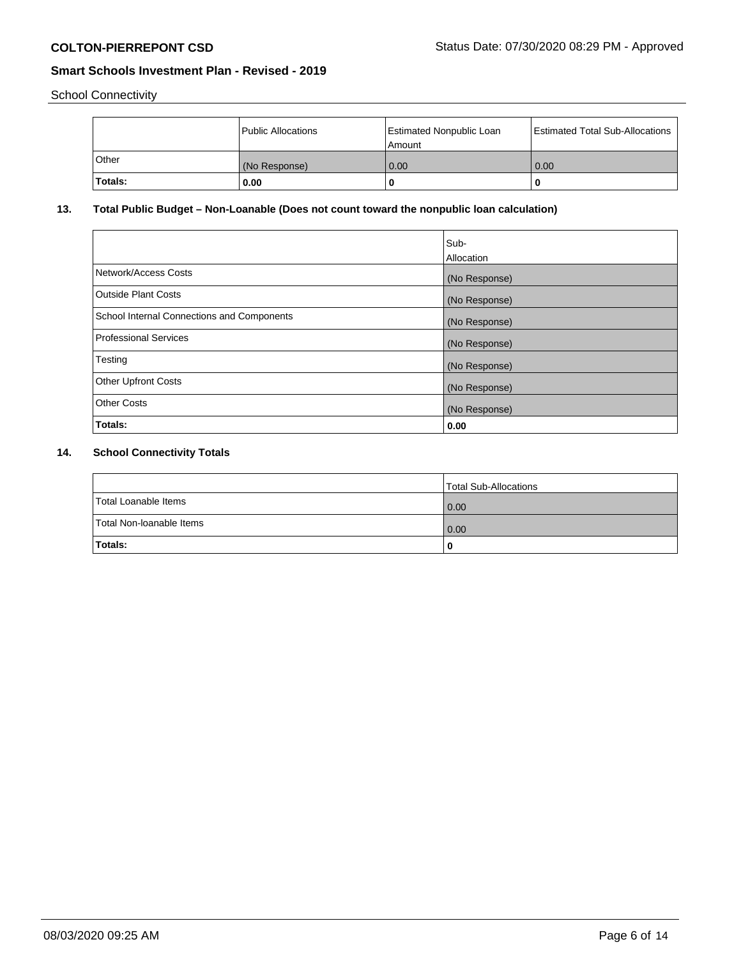School Connectivity

|         | Public Allocations | Estimated Nonpublic Loan<br>l Amount | <b>Estimated Total Sub-Allocations</b> |
|---------|--------------------|--------------------------------------|----------------------------------------|
| l Other | (No Response)      | 0.00                                 | 0.00                                   |
| Totals: | 0.00               | 0                                    |                                        |

## **13. Total Public Budget – Non-Loanable (Does not count toward the nonpublic loan calculation)**

|                                                   | Sub-<br>Allocation |
|---------------------------------------------------|--------------------|
| Network/Access Costs                              | (No Response)      |
| <b>Outside Plant Costs</b>                        | (No Response)      |
| <b>School Internal Connections and Components</b> | (No Response)      |
| Professional Services                             | (No Response)      |
| Testing                                           | (No Response)      |
| <b>Other Upfront Costs</b>                        | (No Response)      |
| <b>Other Costs</b>                                | (No Response)      |
| Totals:                                           | 0.00               |

## **14. School Connectivity Totals**

|                          | Total Sub-Allocations |
|--------------------------|-----------------------|
| Total Loanable Items     | 0.00                  |
| Total Non-Ioanable Items | 0.00                  |
| Totals:                  |                       |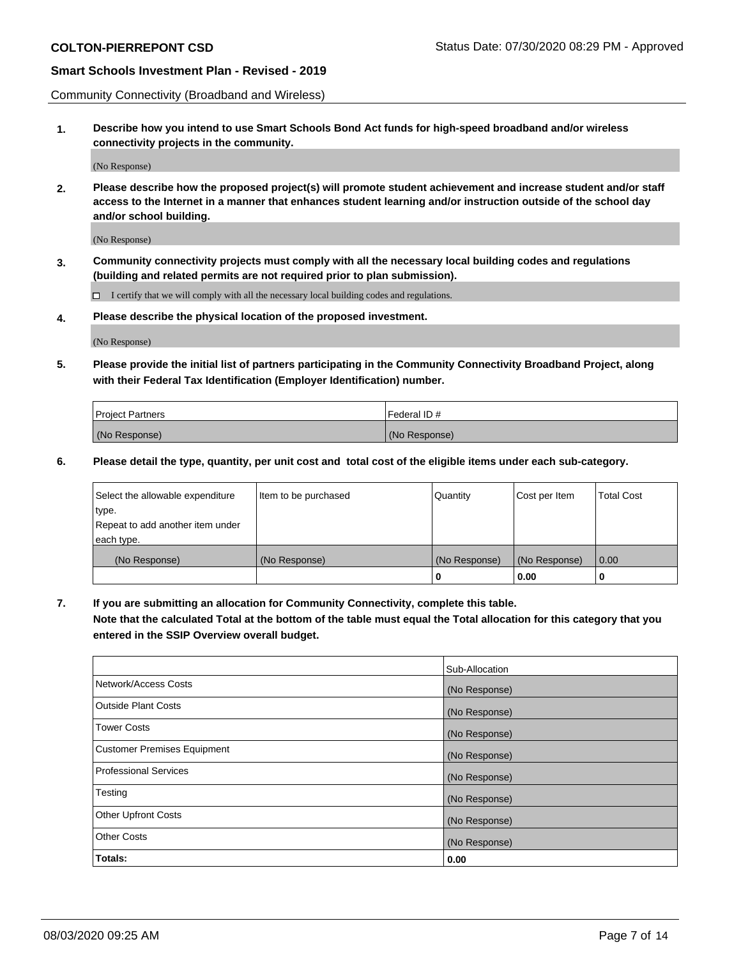Community Connectivity (Broadband and Wireless)

**1. Describe how you intend to use Smart Schools Bond Act funds for high-speed broadband and/or wireless connectivity projects in the community.**

(No Response)

**2. Please describe how the proposed project(s) will promote student achievement and increase student and/or staff access to the Internet in a manner that enhances student learning and/or instruction outside of the school day and/or school building.**

(No Response)

**3. Community connectivity projects must comply with all the necessary local building codes and regulations (building and related permits are not required prior to plan submission).**

 $\Box$  I certify that we will comply with all the necessary local building codes and regulations.

**4. Please describe the physical location of the proposed investment.**

(No Response)

**5. Please provide the initial list of partners participating in the Community Connectivity Broadband Project, along with their Federal Tax Identification (Employer Identification) number.**

| <b>Project Partners</b> | l Federal ID # |
|-------------------------|----------------|
| (No Response)           | (No Response)  |

**6. Please detail the type, quantity, per unit cost and total cost of the eligible items under each sub-category.**

| Select the allowable expenditure | Item to be purchased | Quantity      | Cost per Item | <b>Total Cost</b> |
|----------------------------------|----------------------|---------------|---------------|-------------------|
| type.                            |                      |               |               |                   |
| Repeat to add another item under |                      |               |               |                   |
| each type.                       |                      |               |               |                   |
| (No Response)                    | (No Response)        | (No Response) | (No Response) | 0.00              |
|                                  |                      | o             | 0.00          |                   |

**7. If you are submitting an allocation for Community Connectivity, complete this table.**

**Note that the calculated Total at the bottom of the table must equal the Total allocation for this category that you entered in the SSIP Overview overall budget.**

|                                    | Sub-Allocation |
|------------------------------------|----------------|
| Network/Access Costs               | (No Response)  |
| Outside Plant Costs                | (No Response)  |
| <b>Tower Costs</b>                 | (No Response)  |
| <b>Customer Premises Equipment</b> | (No Response)  |
| <b>Professional Services</b>       | (No Response)  |
| Testing                            | (No Response)  |
| <b>Other Upfront Costs</b>         | (No Response)  |
| <b>Other Costs</b>                 | (No Response)  |
| Totals:                            | 0.00           |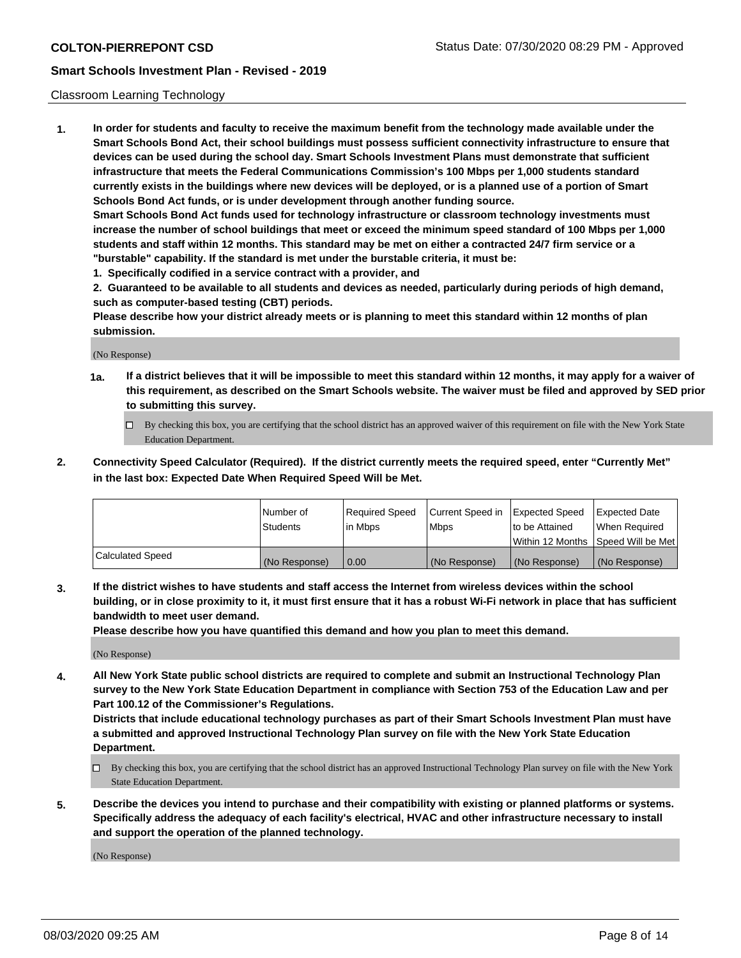### Classroom Learning Technology

**1. In order for students and faculty to receive the maximum benefit from the technology made available under the Smart Schools Bond Act, their school buildings must possess sufficient connectivity infrastructure to ensure that devices can be used during the school day. Smart Schools Investment Plans must demonstrate that sufficient infrastructure that meets the Federal Communications Commission's 100 Mbps per 1,000 students standard currently exists in the buildings where new devices will be deployed, or is a planned use of a portion of Smart Schools Bond Act funds, or is under development through another funding source. Smart Schools Bond Act funds used for technology infrastructure or classroom technology investments must increase the number of school buildings that meet or exceed the minimum speed standard of 100 Mbps per 1,000**

**students and staff within 12 months. This standard may be met on either a contracted 24/7 firm service or a "burstable" capability. If the standard is met under the burstable criteria, it must be:**

**1. Specifically codified in a service contract with a provider, and**

**2. Guaranteed to be available to all students and devices as needed, particularly during periods of high demand, such as computer-based testing (CBT) periods.**

**Please describe how your district already meets or is planning to meet this standard within 12 months of plan submission.**

(No Response)

- **1a. If a district believes that it will be impossible to meet this standard within 12 months, it may apply for a waiver of this requirement, as described on the Smart Schools website. The waiver must be filed and approved by SED prior to submitting this survey.**
	- By checking this box, you are certifying that the school district has an approved waiver of this requirement on file with the New York State Education Department.
- **2. Connectivity Speed Calculator (Required). If the district currently meets the required speed, enter "Currently Met" in the last box: Expected Date When Required Speed Will be Met.**

|                  | l Number of     | Required Speed | Current Speed in | <b>Expected Speed</b> | <b>Expected Date</b>                |
|------------------|-----------------|----------------|------------------|-----------------------|-------------------------------------|
|                  | <b>Students</b> | l in Mbps      | l Mbps           | to be Attained        | When Required                       |
|                  |                 |                |                  |                       | Within 12 Months  Speed Will be Met |
| Calculated Speed | (No Response)   | 0.00           | (No Response)    | l (No Response)       | (No Response)                       |

**3. If the district wishes to have students and staff access the Internet from wireless devices within the school building, or in close proximity to it, it must first ensure that it has a robust Wi-Fi network in place that has sufficient bandwidth to meet user demand.**

**Please describe how you have quantified this demand and how you plan to meet this demand.**

(No Response)

**4. All New York State public school districts are required to complete and submit an Instructional Technology Plan survey to the New York State Education Department in compliance with Section 753 of the Education Law and per Part 100.12 of the Commissioner's Regulations.**

**Districts that include educational technology purchases as part of their Smart Schools Investment Plan must have a submitted and approved Instructional Technology Plan survey on file with the New York State Education Department.**

- By checking this box, you are certifying that the school district has an approved Instructional Technology Plan survey on file with the New York State Education Department.
- **5. Describe the devices you intend to purchase and their compatibility with existing or planned platforms or systems. Specifically address the adequacy of each facility's electrical, HVAC and other infrastructure necessary to install and support the operation of the planned technology.**

(No Response)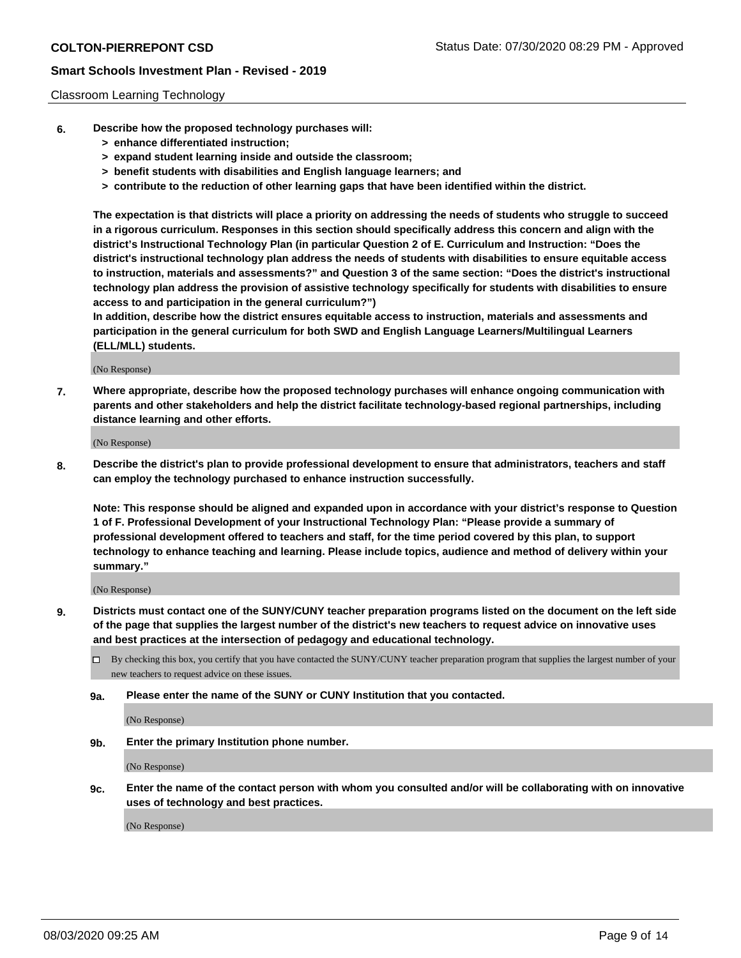### Classroom Learning Technology

- **6. Describe how the proposed technology purchases will:**
	- **> enhance differentiated instruction;**
	- **> expand student learning inside and outside the classroom;**
	- **> benefit students with disabilities and English language learners; and**
	- **> contribute to the reduction of other learning gaps that have been identified within the district.**

**The expectation is that districts will place a priority on addressing the needs of students who struggle to succeed in a rigorous curriculum. Responses in this section should specifically address this concern and align with the district's Instructional Technology Plan (in particular Question 2 of E. Curriculum and Instruction: "Does the district's instructional technology plan address the needs of students with disabilities to ensure equitable access to instruction, materials and assessments?" and Question 3 of the same section: "Does the district's instructional technology plan address the provision of assistive technology specifically for students with disabilities to ensure access to and participation in the general curriculum?")**

**In addition, describe how the district ensures equitable access to instruction, materials and assessments and participation in the general curriculum for both SWD and English Language Learners/Multilingual Learners (ELL/MLL) students.**

(No Response)

**7. Where appropriate, describe how the proposed technology purchases will enhance ongoing communication with parents and other stakeholders and help the district facilitate technology-based regional partnerships, including distance learning and other efforts.**

(No Response)

**8. Describe the district's plan to provide professional development to ensure that administrators, teachers and staff can employ the technology purchased to enhance instruction successfully.**

**Note: This response should be aligned and expanded upon in accordance with your district's response to Question 1 of F. Professional Development of your Instructional Technology Plan: "Please provide a summary of professional development offered to teachers and staff, for the time period covered by this plan, to support technology to enhance teaching and learning. Please include topics, audience and method of delivery within your summary."**

(No Response)

- **9. Districts must contact one of the SUNY/CUNY teacher preparation programs listed on the document on the left side of the page that supplies the largest number of the district's new teachers to request advice on innovative uses and best practices at the intersection of pedagogy and educational technology.**
	- By checking this box, you certify that you have contacted the SUNY/CUNY teacher preparation program that supplies the largest number of your new teachers to request advice on these issues.
	- **9a. Please enter the name of the SUNY or CUNY Institution that you contacted.**

(No Response)

**9b. Enter the primary Institution phone number.**

(No Response)

**9c. Enter the name of the contact person with whom you consulted and/or will be collaborating with on innovative uses of technology and best practices.**

(No Response)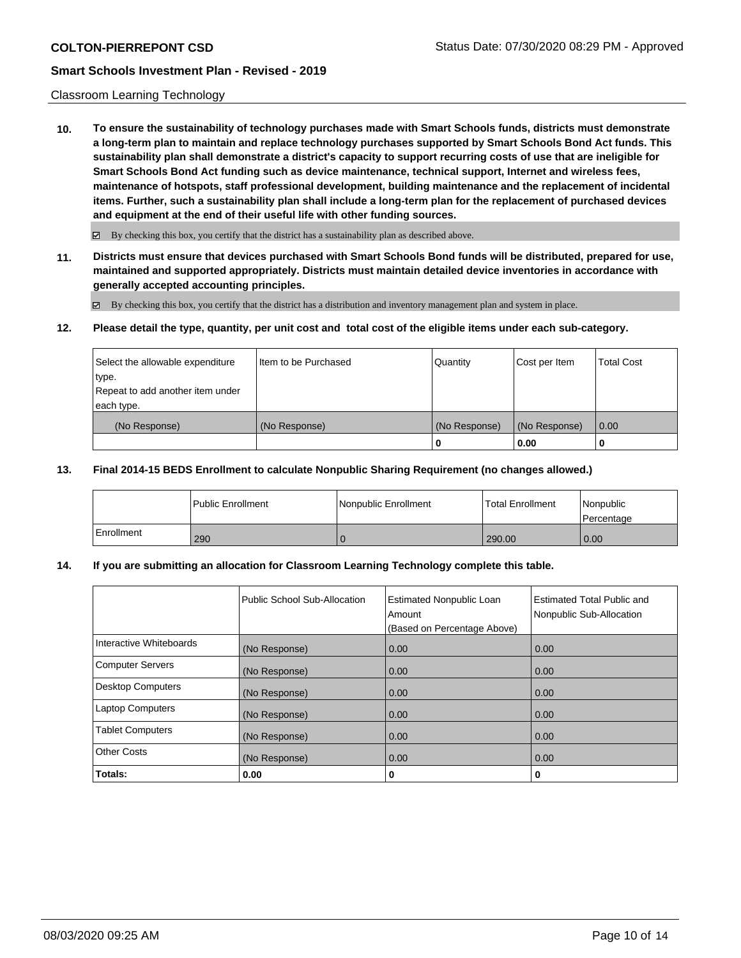### Classroom Learning Technology

**10. To ensure the sustainability of technology purchases made with Smart Schools funds, districts must demonstrate a long-term plan to maintain and replace technology purchases supported by Smart Schools Bond Act funds. This sustainability plan shall demonstrate a district's capacity to support recurring costs of use that are ineligible for Smart Schools Bond Act funding such as device maintenance, technical support, Internet and wireless fees, maintenance of hotspots, staff professional development, building maintenance and the replacement of incidental items. Further, such a sustainability plan shall include a long-term plan for the replacement of purchased devices and equipment at the end of their useful life with other funding sources.**

 $\boxtimes$  By checking this box, you certify that the district has a sustainability plan as described above.

**11. Districts must ensure that devices purchased with Smart Schools Bond funds will be distributed, prepared for use, maintained and supported appropriately. Districts must maintain detailed device inventories in accordance with generally accepted accounting principles.**

By checking this box, you certify that the district has a distribution and inventory management plan and system in place.

### **12. Please detail the type, quantity, per unit cost and total cost of the eligible items under each sub-category.**

| Select the allowable expenditure<br>type.<br>Repeat to add another item under | Item to be Purchased | Quantity      | Cost per Item | <b>Total Cost</b> |
|-------------------------------------------------------------------------------|----------------------|---------------|---------------|-------------------|
| each type.<br>(No Response)                                                   | (No Response)        | (No Response) | (No Response) | 0.00              |
|                                                                               |                      | 0             | 0.00          |                   |

### **13. Final 2014-15 BEDS Enrollment to calculate Nonpublic Sharing Requirement (no changes allowed.)**

|            | l Public Enrollment | Nonpublic Enrollment | Total Enrollment | Nonpublic<br>l Percentage |
|------------|---------------------|----------------------|------------------|---------------------------|
| Enrollment | 290                 |                      | 290.00           | 0.00                      |

### **14. If you are submitting an allocation for Classroom Learning Technology complete this table.**

|                          | Public School Sub-Allocation | <b>Estimated Nonpublic Loan</b><br>Amount<br>(Based on Percentage Above) | <b>Estimated Total Public and</b><br>Nonpublic Sub-Allocation |
|--------------------------|------------------------------|--------------------------------------------------------------------------|---------------------------------------------------------------|
| Interactive Whiteboards  | (No Response)                | 0.00                                                                     | 0.00                                                          |
| Computer Servers         | (No Response)                | 0.00                                                                     | 0.00                                                          |
| <b>Desktop Computers</b> | (No Response)                | 0.00                                                                     | 0.00                                                          |
| <b>Laptop Computers</b>  | (No Response)                | 0.00                                                                     | 0.00                                                          |
| <b>Tablet Computers</b>  | (No Response)                | 0.00                                                                     | 0.00                                                          |
| Other Costs              | (No Response)                | 0.00                                                                     | 0.00                                                          |
| Totals:                  | 0.00                         | 0                                                                        | 0                                                             |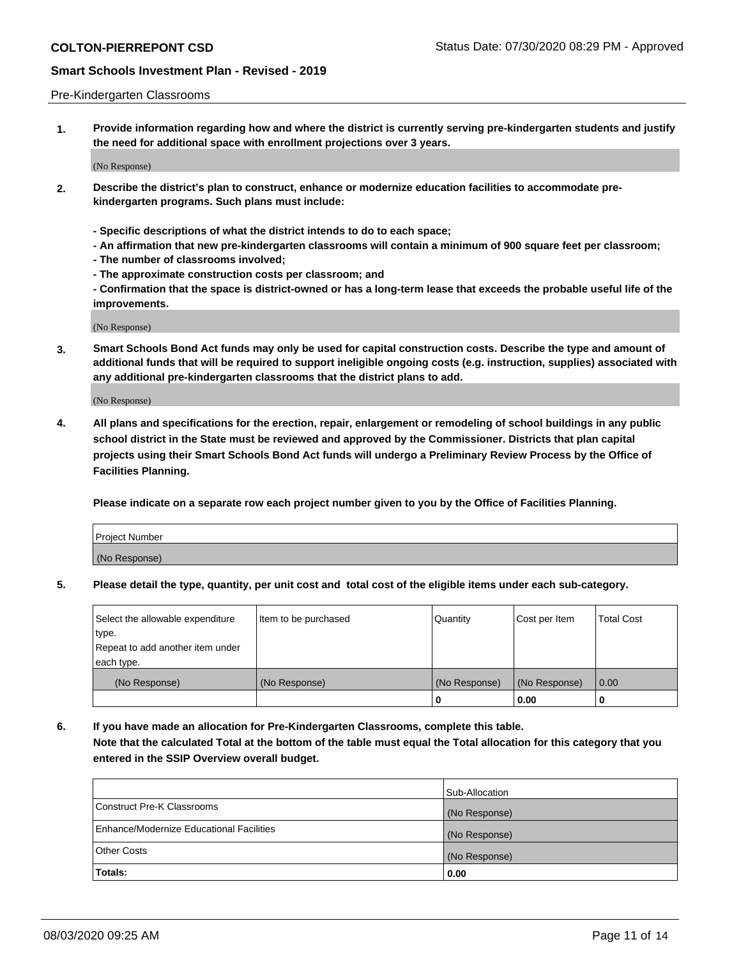### Pre-Kindergarten Classrooms

**1. Provide information regarding how and where the district is currently serving pre-kindergarten students and justify the need for additional space with enrollment projections over 3 years.**

(No Response)

- **2. Describe the district's plan to construct, enhance or modernize education facilities to accommodate prekindergarten programs. Such plans must include:**
	- **Specific descriptions of what the district intends to do to each space;**
	- **An affirmation that new pre-kindergarten classrooms will contain a minimum of 900 square feet per classroom;**
	- **The number of classrooms involved;**
	- **The approximate construction costs per classroom; and**
	- **Confirmation that the space is district-owned or has a long-term lease that exceeds the probable useful life of the improvements.**

(No Response)

**3. Smart Schools Bond Act funds may only be used for capital construction costs. Describe the type and amount of additional funds that will be required to support ineligible ongoing costs (e.g. instruction, supplies) associated with any additional pre-kindergarten classrooms that the district plans to add.**

(No Response)

**4. All plans and specifications for the erection, repair, enlargement or remodeling of school buildings in any public school district in the State must be reviewed and approved by the Commissioner. Districts that plan capital projects using their Smart Schools Bond Act funds will undergo a Preliminary Review Process by the Office of Facilities Planning.**

**Please indicate on a separate row each project number given to you by the Office of Facilities Planning.**

| Project Number |  |
|----------------|--|
| (No Response)  |  |
|                |  |

**5. Please detail the type, quantity, per unit cost and total cost of the eligible items under each sub-category.**

| Select the allowable expenditure | Item to be purchased | Quantity      | Cost per Item | <b>Total Cost</b> |
|----------------------------------|----------------------|---------------|---------------|-------------------|
| type.                            |                      |               |               |                   |
| Repeat to add another item under |                      |               |               |                   |
| each type.                       |                      |               |               |                   |
| (No Response)                    | (No Response)        | (No Response) | (No Response) | 0.00              |
|                                  |                      | U             | 0.00          |                   |

**6. If you have made an allocation for Pre-Kindergarten Classrooms, complete this table. Note that the calculated Total at the bottom of the table must equal the Total allocation for this category that you entered in the SSIP Overview overall budget.**

|                                          | Sub-Allocation |
|------------------------------------------|----------------|
| Construct Pre-K Classrooms               | (No Response)  |
| Enhance/Modernize Educational Facilities | (No Response)  |
| <b>Other Costs</b>                       | (No Response)  |
| Totals:                                  | 0.00           |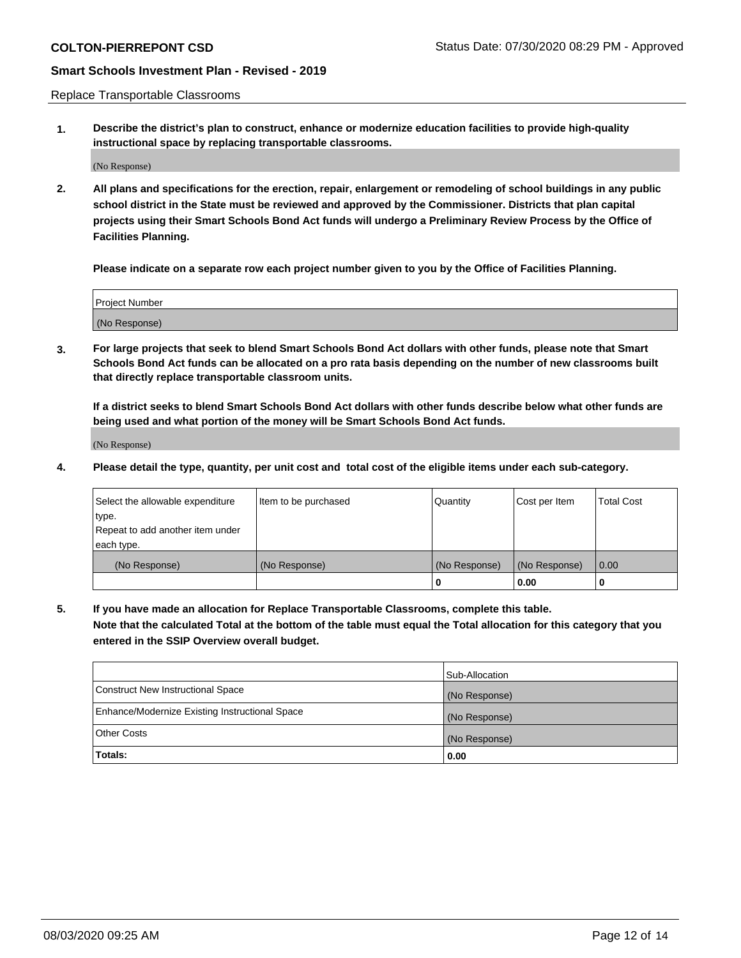Replace Transportable Classrooms

**1. Describe the district's plan to construct, enhance or modernize education facilities to provide high-quality instructional space by replacing transportable classrooms.**

(No Response)

**2. All plans and specifications for the erection, repair, enlargement or remodeling of school buildings in any public school district in the State must be reviewed and approved by the Commissioner. Districts that plan capital projects using their Smart Schools Bond Act funds will undergo a Preliminary Review Process by the Office of Facilities Planning.**

**Please indicate on a separate row each project number given to you by the Office of Facilities Planning.**

| Project Number |  |
|----------------|--|
|                |  |
| (No Response)  |  |

**3. For large projects that seek to blend Smart Schools Bond Act dollars with other funds, please note that Smart Schools Bond Act funds can be allocated on a pro rata basis depending on the number of new classrooms built that directly replace transportable classroom units.**

**If a district seeks to blend Smart Schools Bond Act dollars with other funds describe below what other funds are being used and what portion of the money will be Smart Schools Bond Act funds.**

(No Response)

**4. Please detail the type, quantity, per unit cost and total cost of the eligible items under each sub-category.**

| Select the allowable expenditure           | Item to be purchased | Quantity      | Cost per Item | <b>Total Cost</b> |
|--------------------------------------------|----------------------|---------------|---------------|-------------------|
| ∣type.<br>Repeat to add another item under |                      |               |               |                   |
| each type.                                 |                      |               |               |                   |
| (No Response)                              | (No Response)        | (No Response) | (No Response) | 0.00              |
|                                            |                      | 0             | 0.00          |                   |

**5. If you have made an allocation for Replace Transportable Classrooms, complete this table. Note that the calculated Total at the bottom of the table must equal the Total allocation for this category that you entered in the SSIP Overview overall budget.**

|                                                | Sub-Allocation |
|------------------------------------------------|----------------|
| Construct New Instructional Space              | (No Response)  |
| Enhance/Modernize Existing Instructional Space | (No Response)  |
| Other Costs                                    | (No Response)  |
| Totals:                                        | 0.00           |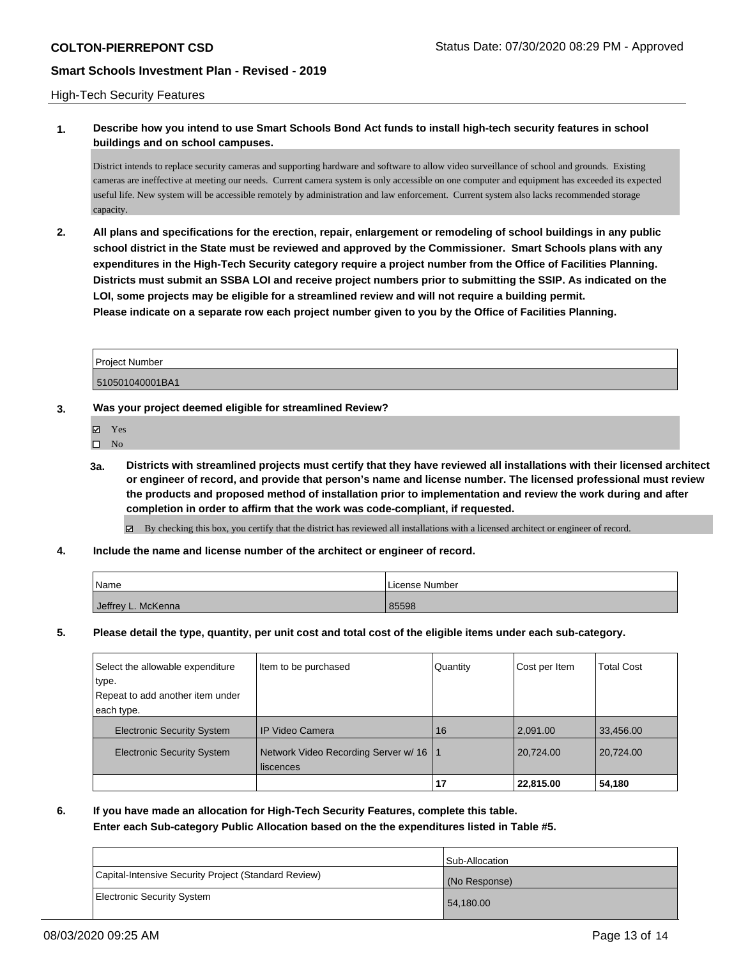### High-Tech Security Features

## **1. Describe how you intend to use Smart Schools Bond Act funds to install high-tech security features in school buildings and on school campuses.**

District intends to replace security cameras and supporting hardware and software to allow video surveillance of school and grounds. Existing cameras are ineffective at meeting our needs. Current camera system is only accessible on one computer and equipment has exceeded its expected useful life. New system will be accessible remotely by administration and law enforcement. Current system also lacks recommended storage capacity.

**2. All plans and specifications for the erection, repair, enlargement or remodeling of school buildings in any public school district in the State must be reviewed and approved by the Commissioner. Smart Schools plans with any expenditures in the High-Tech Security category require a project number from the Office of Facilities Planning. Districts must submit an SSBA LOI and receive project numbers prior to submitting the SSIP. As indicated on the LOI, some projects may be eligible for a streamlined review and will not require a building permit. Please indicate on a separate row each project number given to you by the Office of Facilities Planning.**

| Project Number  |  |
|-----------------|--|
| 510501040001BA1 |  |

### **3. Was your project deemed eligible for streamlined Review?**

- Yes
- $\square$  No
- **3a. Districts with streamlined projects must certify that they have reviewed all installations with their licensed architect or engineer of record, and provide that person's name and license number. The licensed professional must review the products and proposed method of installation prior to implementation and review the work during and after completion in order to affirm that the work was code-compliant, if requested.**

By checking this box, you certify that the district has reviewed all installations with a licensed architect or engineer of record.

**4. Include the name and license number of the architect or engineer of record.**

| Name               | License Number |
|--------------------|----------------|
| Jeffrey L. McKenna | 85598          |

**5. Please detail the type, quantity, per unit cost and total cost of the eligible items under each sub-category.**

| Network Video Recording Server w/ 16   1<br><b>Electronic Security System</b><br>liscences                                       | 20,724.00     | 20.724.00         |
|----------------------------------------------------------------------------------------------------------------------------------|---------------|-------------------|
|                                                                                                                                  |               |                   |
| <b>IP Video Camera</b><br><b>Electronic Security System</b><br>16                                                                | 2,091.00      | 33,456.00         |
| Item to be purchased<br>Select the allowable expenditure<br>Quantity<br>∣type.<br>Repeat to add another item under<br>each type. | Cost per Item | <b>Total Cost</b> |

**6. If you have made an allocation for High-Tech Security Features, complete this table.**

**Enter each Sub-category Public Allocation based on the the expenditures listed in Table #5.**

|                                                      | Sub-Allocation |
|------------------------------------------------------|----------------|
| Capital-Intensive Security Project (Standard Review) | (No Response)  |
| Electronic Security System                           | 54,180.00      |